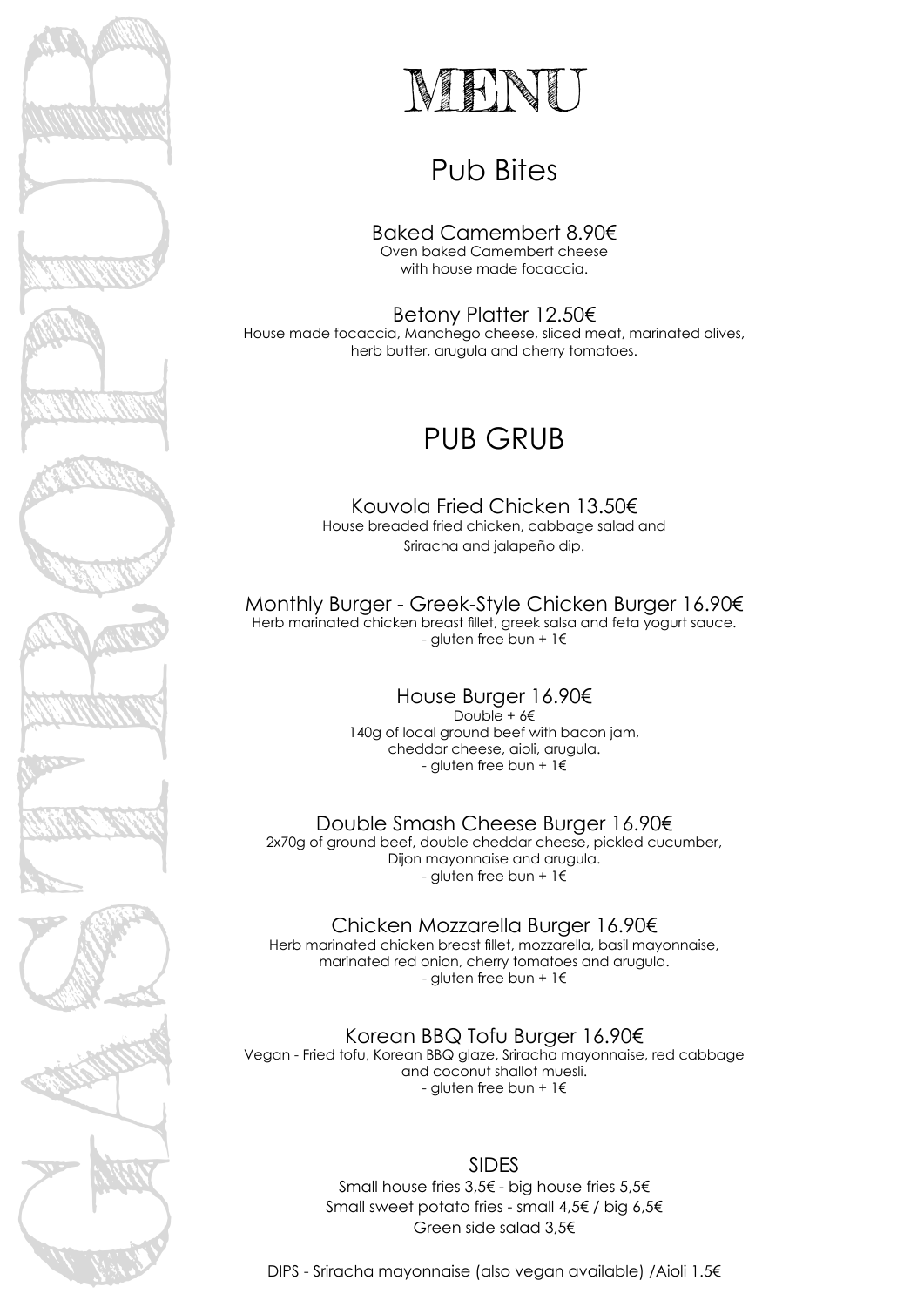

# MENU

# Pub Bites

Baked Camembert 8.90€ Oven baked Camembert cheese with house made focaccia.

Betony Platter 12.50€ House made focaccia, Manchego cheese, sliced meat, marinated olives, herb butter, arugula and cherry tomatoes.

## PUB GRUB

Kouvola Fried Chicken 13.50€ House breaded fried chicken, cabbage salad and Sriracha and jalapeño dip.

Monthly Burger - Greek-Style Chicken Burger 16.90€ Herb marinated chicken breast fillet, greek salsa and feta yogurt sauce. - gluten free bun + 1€

> House Burger 16.90€ Double + 6€ 140g of local ground beef with bacon jam, cheddar cheese, aioli, arugula. - gluten free bun + 1€

Double Smash Cheese Burger 16.90€ 2x70g of ground beef, double cheddar cheese, pickled cucumber, Dijon mayonnaise and arugula. - gluten free bun + 1€

Chicken Mozzarella Burger 16.90€ Herb marinated chicken breast fillet, mozzarella, basil mayonnaise, marinated red onion, cherry tomatoes and arugula. - gluten free bun + 1€

Korean BBQ Tofu Burger 16.90€ Vegan - Fried tofu, Korean BBQ glaze, Sriracha mayonnaise, red cabbage and coconut shallot muesli. - gluten free bun + 1€

> SIDES Small house fries 3,5€ - big house fries 5,5€ Small sweet potato fries - small 4,5€ / big 6,5€ Green side salad 3,5€

DIPS - Sriracha mayonnaise (also vegan available) /Aioli 1.5€